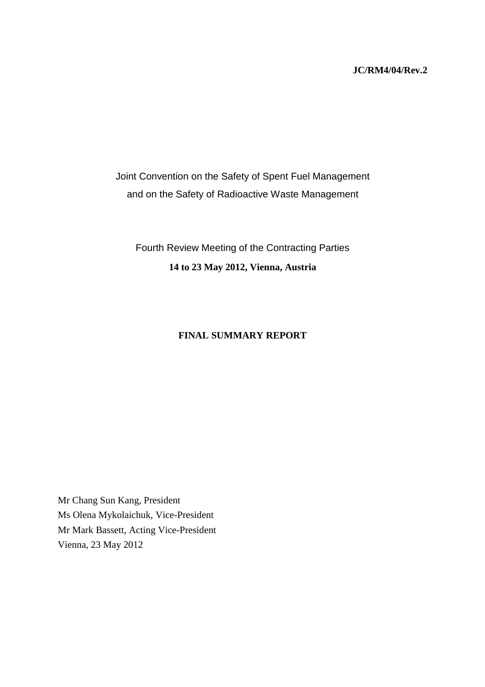#### **JC/RM4/04/Rev.2**

Joint Convention on the Safety of Spent Fuel Management and on the Safety of Radioactive Waste Management

Fourth Review Meeting of the Contracting Parties **14 to 23 May 2012, Vienna, Austria** 

## **FINAL SUMMARY REPORT**

Mr Chang Sun Kang, President Ms Olena Mykolaichuk, Vice-President Mr Mark Bassett, Acting Vice-President Vienna, 23 May 2012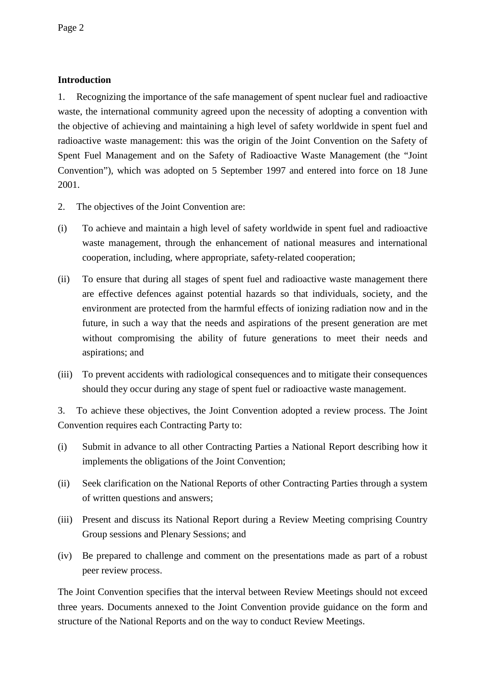# **Introduction**

1. Recognizing the importance of the safe management of spent nuclear fuel and radioactive waste, the international community agreed upon the necessity of adopting a convention with the objective of achieving and maintaining a high level of safety worldwide in spent fuel and radioactive waste management: this was the origin of the Joint Convention on the Safety of Spent Fuel Management and on the Safety of Radioactive Waste Management (the "Joint Convention"), which was adopted on 5 September 1997 and entered into force on 18 June 2001.

- 2. The objectives of the Joint Convention are:
- (i) To achieve and maintain a high level of safety worldwide in spent fuel and radioactive waste management, through the enhancement of national measures and international cooperation, including, where appropriate, safety-related cooperation;
- (ii) To ensure that during all stages of spent fuel and radioactive waste management there are effective defences against potential hazards so that individuals, society, and the environment are protected from the harmful effects of ionizing radiation now and in the future, in such a way that the needs and aspirations of the present generation are met without compromising the ability of future generations to meet their needs and aspirations; and
- (iii) To prevent accidents with radiological consequences and to mitigate their consequences should they occur during any stage of spent fuel or radioactive waste management.

3. To achieve these objectives, the Joint Convention adopted a review process. The Joint Convention requires each Contracting Party to:

- (i) Submit in advance to all other Contracting Parties a National Report describing how it implements the obligations of the Joint Convention;
- (ii) Seek clarification on the National Reports of other Contracting Parties through a system of written questions and answers;
- (iii) Present and discuss its National Report during a Review Meeting comprising Country Group sessions and Plenary Sessions; and
- (iv) Be prepared to challenge and comment on the presentations made as part of a robust peer review process.

The Joint Convention specifies that the interval between Review Meetings should not exceed three years. Documents annexed to the Joint Convention provide guidance on the form and structure of the National Reports and on the way to conduct Review Meetings.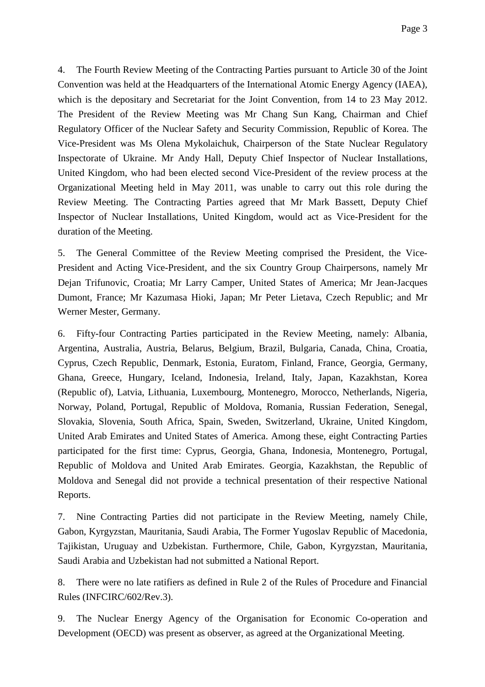4. The Fourth Review Meeting of the Contracting Parties pursuant to Article 30 of the Joint Convention was held at the Headquarters of the International Atomic Energy Agency (IAEA), which is the depositary and Secretariat for the Joint Convention, from 14 to 23 May 2012. The President of the Review Meeting was Mr Chang Sun Kang, Chairman and Chief Regulatory Officer of the Nuclear Safety and Security Commission, Republic of Korea. The Vice-President was Ms Olena Mykolaichuk, Chairperson of the State Nuclear Regulatory Inspectorate of Ukraine. Mr Andy Hall, Deputy Chief Inspector of Nuclear Installations, United Kingdom, who had been elected second Vice-President of the review process at the Organizational Meeting held in May 2011, was unable to carry out this role during the Review Meeting. The Contracting Parties agreed that Mr Mark Bassett, Deputy Chief Inspector of Nuclear Installations, United Kingdom, would act as Vice-President for the duration of the Meeting.

5. The General Committee of the Review Meeting comprised the President, the Vice-President and Acting Vice-President, and the six Country Group Chairpersons, namely Mr Dejan Trifunovic, Croatia; Mr Larry Camper, United States of America; Mr Jean-Jacques Dumont, France; Mr Kazumasa Hioki, Japan; Mr Peter Lietava, Czech Republic; and Mr Werner Mester, Germany.

6. Fifty-four Contracting Parties participated in the Review Meeting, namely: Albania, Argentina, Australia, Austria, Belarus, Belgium, Brazil, Bulgaria, Canada, China, Croatia, Cyprus, Czech Republic, Denmark, Estonia, Euratom, Finland, France, Georgia, Germany, Ghana, Greece, Hungary, Iceland, Indonesia, Ireland, Italy, Japan, Kazakhstan, Korea (Republic of), Latvia, Lithuania, Luxembourg, Montenegro, Morocco, Netherlands, Nigeria, Norway, Poland, Portugal, Republic of Moldova, Romania, Russian Federation, Senegal, Slovakia, Slovenia, South Africa, Spain, Sweden, Switzerland, Ukraine, United Kingdom, United Arab Emirates and United States of America. Among these, eight Contracting Parties participated for the first time: Cyprus, Georgia, Ghana, Indonesia, Montenegro, Portugal, Republic of Moldova and United Arab Emirates. Georgia, Kazakhstan, the Republic of Moldova and Senegal did not provide a technical presentation of their respective National Reports.

7. Nine Contracting Parties did not participate in the Review Meeting, namely Chile, Gabon, Kyrgyzstan, Mauritania, Saudi Arabia, The Former Yugoslav Republic of Macedonia, Tajikistan, Uruguay and Uzbekistan. Furthermore, Chile, Gabon, Kyrgyzstan, Mauritania, Saudi Arabia and Uzbekistan had not submitted a National Report.

8. There were no late ratifiers as defined in Rule 2 of the Rules of Procedure and Financial Rules (INFCIRC/602/Rev.3).

9. The Nuclear Energy Agency of the Organisation for Economic Co-operation and Development (OECD) was present as observer, as agreed at the Organizational Meeting.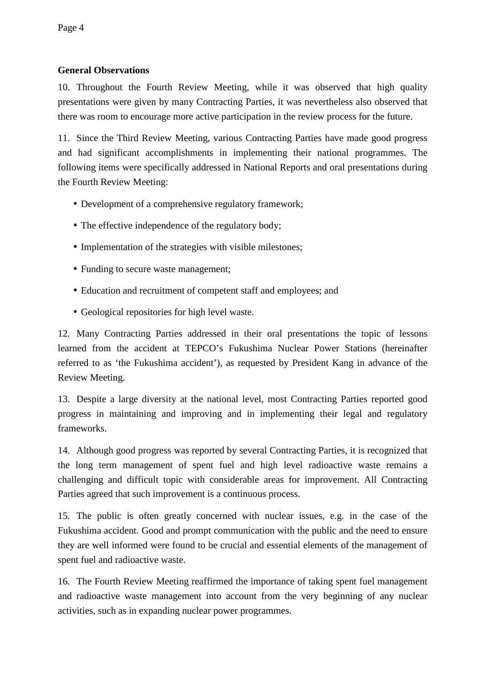# **General Observations**

10. Throughout the Fourth Review Meeting, while it was observed that high quality presentations were given by many Contracting Parties, it was nevertheless also observed that there was room to encourage more active participation in the review process for the future.

11. Since the Third Review Meeting, various Contracting Parties have made good progress and had significant accomplishments in implementing their national programmes. The following items were specifically addressed in National Reports and oral presentations during the Fourth Review Meeting:

- Development of a comprehensive regulatory framework;
- The effective independence of the regulatory body;
- Implementation of the strategies with visible milestones:
- Funding to secure waste management;
- Education and recruitment of competent staff and employees; and
- Geological repositories for high level waste.

12. Many Contracting Parties addressed in their oral presentations the topic of lessons learned from the accident at TEPCO's Fukushima Nuclear Power Stations (hereinafter referred to as 'the Fukushima accident'), as requested by President Kang in advance of the Review Meeting.

13. Despite a large diversity at the national level, most Contracting Parties reported good progress in maintaining and improving and in implementing their legal and regulatory frameworks.

14. Although good progress was reported by several Contracting Parties, it is recognized that the long term management of spent fuel and high level radioactive waste remains a challenging and difficult topic with considerable areas for improvement. All Contracting Parties agreed that such improvement is a continuous process.

15. The public is often greatly concerned with nuclear issues, e.g. in the case of the Fukushima accident. Good and prompt communication with the public and the need to ensure they are well informed were found to be crucial and essential elements of the management of spent fuel and radioactive waste.

16. The Fourth Review Meeting reaffirmed the importance of taking spent fuel management and radioactive waste management into account from the very beginning of any nuclear activities, such as in expanding nuclear power programmes.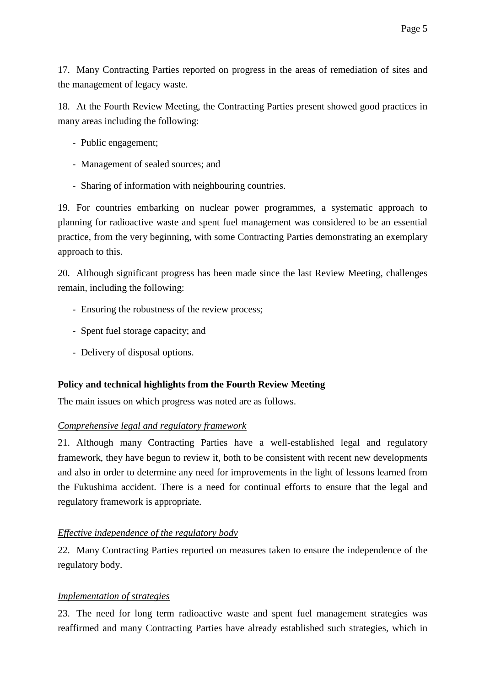17. Many Contracting Parties reported on progress in the areas of remediation of sites and the management of legacy waste.

18. At the Fourth Review Meeting, the Contracting Parties present showed good practices in many areas including the following:

- Public engagement;
- Management of sealed sources; and
- Sharing of information with neighbouring countries.

19. For countries embarking on nuclear power programmes, a systematic approach to planning for radioactive waste and spent fuel management was considered to be an essential practice, from the very beginning, with some Contracting Parties demonstrating an exemplary approach to this.

20. Although significant progress has been made since the last Review Meeting, challenges remain, including the following:

- Ensuring the robustness of the review process;
- Spent fuel storage capacity; and
- Delivery of disposal options.

#### **Policy and technical highlights from the Fourth Review Meeting**

The main issues on which progress was noted are as follows.

#### *Comprehensive legal and regulatory framework*

21. Although many Contracting Parties have a well-established legal and regulatory framework, they have begun to review it, both to be consistent with recent new developments and also in order to determine any need for improvements in the light of lessons learned from the Fukushima accident. There is a need for continual efforts to ensure that the legal and regulatory framework is appropriate.

## *Effective independence of the regulatory body*

22. Many Contracting Parties reported on measures taken to ensure the independence of the regulatory body.

#### *Implementation of strategies*

23. The need for long term radioactive waste and spent fuel management strategies was reaffirmed and many Contracting Parties have already established such strategies, which in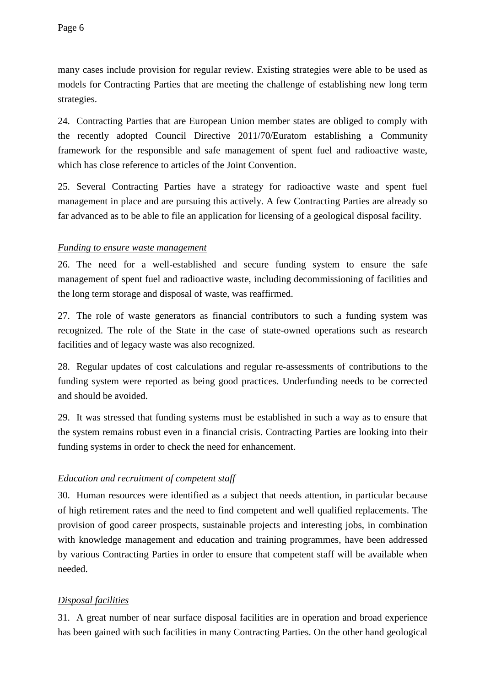many cases include provision for regular review. Existing strategies were able to be used as models for Contracting Parties that are meeting the challenge of establishing new long term strategies.

24. Contracting Parties that are European Union member states are obliged to comply with the recently adopted Council Directive 2011/70/Euratom establishing a Community framework for the responsible and safe management of spent fuel and radioactive waste, which has close reference to articles of the Joint Convention.

25. Several Contracting Parties have a strategy for radioactive waste and spent fuel management in place and are pursuing this actively. A few Contracting Parties are already so far advanced as to be able to file an application for licensing of a geological disposal facility.

#### *Funding to ensure waste management*

26. The need for a well-established and secure funding system to ensure the safe management of spent fuel and radioactive waste, including decommissioning of facilities and the long term storage and disposal of waste, was reaffirmed.

27. The role of waste generators as financial contributors to such a funding system was recognized. The role of the State in the case of state-owned operations such as research facilities and of legacy waste was also recognized.

28. Regular updates of cost calculations and regular re-assessments of contributions to the funding system were reported as being good practices. Underfunding needs to be corrected and should be avoided.

29. It was stressed that funding systems must be established in such a way as to ensure that the system remains robust even in a financial crisis. Contracting Parties are looking into their funding systems in order to check the need for enhancement.

## *Education and recruitment of competent staff*

30. Human resources were identified as a subject that needs attention, in particular because of high retirement rates and the need to find competent and well qualified replacements. The provision of good career prospects, sustainable projects and interesting jobs, in combination with knowledge management and education and training programmes, have been addressed by various Contracting Parties in order to ensure that competent staff will be available when needed.

# *Disposal facilities*

31. A great number of near surface disposal facilities are in operation and broad experience has been gained with such facilities in many Contracting Parties. On the other hand geological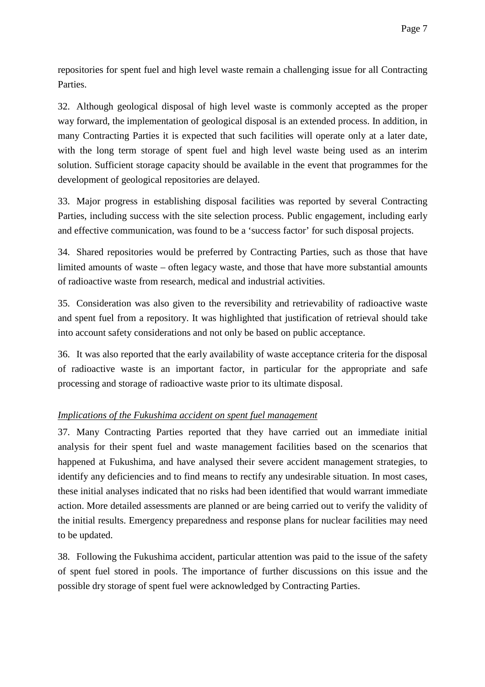repositories for spent fuel and high level waste remain a challenging issue for all Contracting Parties.

32. Although geological disposal of high level waste is commonly accepted as the proper way forward, the implementation of geological disposal is an extended process. In addition, in many Contracting Parties it is expected that such facilities will operate only at a later date, with the long term storage of spent fuel and high level waste being used as an interim solution. Sufficient storage capacity should be available in the event that programmes for the development of geological repositories are delayed.

33. Major progress in establishing disposal facilities was reported by several Contracting Parties, including success with the site selection process. Public engagement, including early and effective communication, was found to be a 'success factor' for such disposal projects.

34. Shared repositories would be preferred by Contracting Parties, such as those that have limited amounts of waste – often legacy waste, and those that have more substantial amounts of radioactive waste from research, medical and industrial activities.

35. Consideration was also given to the reversibility and retrievability of radioactive waste and spent fuel from a repository. It was highlighted that justification of retrieval should take into account safety considerations and not only be based on public acceptance.

36. It was also reported that the early availability of waste acceptance criteria for the disposal of radioactive waste is an important factor, in particular for the appropriate and safe processing and storage of radioactive waste prior to its ultimate disposal.

# *Implications of the Fukushima accident on spent fuel management*

37. Many Contracting Parties reported that they have carried out an immediate initial analysis for their spent fuel and waste management facilities based on the scenarios that happened at Fukushima, and have analysed their severe accident management strategies, to identify any deficiencies and to find means to rectify any undesirable situation. In most cases, these initial analyses indicated that no risks had been identified that would warrant immediate action. More detailed assessments are planned or are being carried out to verify the validity of the initial results. Emergency preparedness and response plans for nuclear facilities may need to be updated.

38. Following the Fukushima accident, particular attention was paid to the issue of the safety of spent fuel stored in pools. The importance of further discussions on this issue and the possible dry storage of spent fuel were acknowledged by Contracting Parties.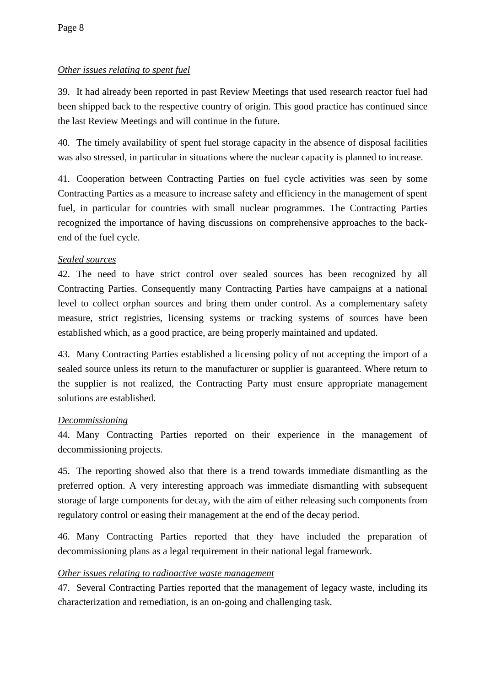# *Other issues relating to spent fuel*

39. It had already been reported in past Review Meetings that used research reactor fuel had been shipped back to the respective country of origin. This good practice has continued since the last Review Meetings and will continue in the future.

40. The timely availability of spent fuel storage capacity in the absence of disposal facilities was also stressed, in particular in situations where the nuclear capacity is planned to increase.

41. Cooperation between Contracting Parties on fuel cycle activities was seen by some Contracting Parties as a measure to increase safety and efficiency in the management of spent fuel, in particular for countries with small nuclear programmes. The Contracting Parties recognized the importance of having discussions on comprehensive approaches to the backend of the fuel cycle.

# *Sealed sources*

42. The need to have strict control over sealed sources has been recognized by all Contracting Parties. Consequently many Contracting Parties have campaigns at a national level to collect orphan sources and bring them under control. As a complementary safety measure, strict registries, licensing systems or tracking systems of sources have been established which, as a good practice, are being properly maintained and updated.

43. Many Contracting Parties established a licensing policy of not accepting the import of a sealed source unless its return to the manufacturer or supplier is guaranteed. Where return to the supplier is not realized, the Contracting Party must ensure appropriate management solutions are established.

## *Decommissioning*

44. Many Contracting Parties reported on their experience in the management of decommissioning projects.

45. The reporting showed also that there is a trend towards immediate dismantling as the preferred option. A very interesting approach was immediate dismantling with subsequent storage of large components for decay, with the aim of either releasing such components from regulatory control or easing their management at the end of the decay period.

46. Many Contracting Parties reported that they have included the preparation of decommissioning plans as a legal requirement in their national legal framework.

# *Other issues relating to radioactive waste management*

47. Several Contracting Parties reported that the management of legacy waste, including its characterization and remediation, is an on-going and challenging task.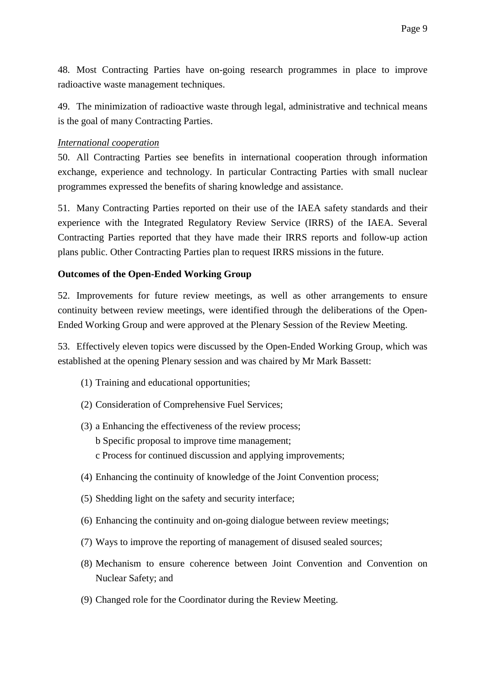48. Most Contracting Parties have on-going research programmes in place to improve radioactive waste management techniques.

49. The minimization of radioactive waste through legal, administrative and technical means is the goal of many Contracting Parties.

## *International cooperation*

50. All Contracting Parties see benefits in international cooperation through information exchange, experience and technology. In particular Contracting Parties with small nuclear programmes expressed the benefits of sharing knowledge and assistance.

51. Many Contracting Parties reported on their use of the IAEA safety standards and their experience with the Integrated Regulatory Review Service (IRRS) of the IAEA. Several Contracting Parties reported that they have made their IRRS reports and follow-up action plans public. Other Contracting Parties plan to request IRRS missions in the future.

# **Outcomes of the Open-Ended Working Group**

52. Improvements for future review meetings, as well as other arrangements to ensure continuity between review meetings, were identified through the deliberations of the Open-Ended Working Group and were approved at the Plenary Session of the Review Meeting.

53. Effectively eleven topics were discussed by the Open-Ended Working Group, which was established at the opening Plenary session and was chaired by Mr Mark Bassett:

- (1) Training and educational opportunities;
- (2) Consideration of Comprehensive Fuel Services;
- (3) a Enhancing the effectiveness of the review process;
	- b Specific proposal to improve time management;
	- c Process for continued discussion and applying improvements;
- (4) Enhancing the continuity of knowledge of the Joint Convention process;
- (5) Shedding light on the safety and security interface;
- (6) Enhancing the continuity and on-going dialogue between review meetings;
- (7) Ways to improve the reporting of management of disused sealed sources;
- (8) Mechanism to ensure coherence between Joint Convention and Convention on Nuclear Safety; and
- (9) Changed role for the Coordinator during the Review Meeting.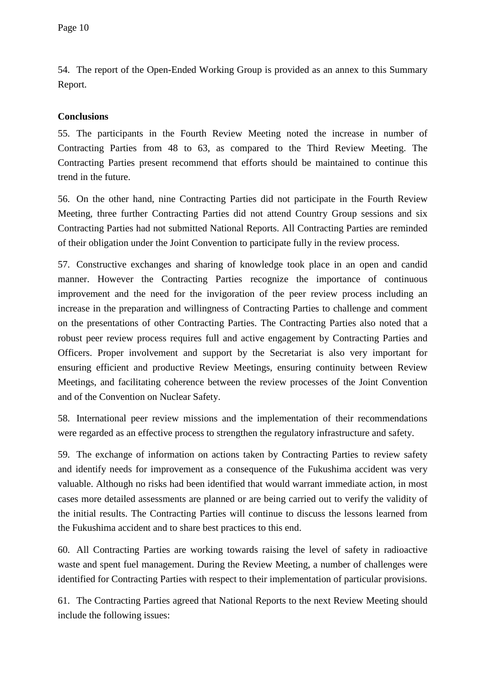54. The report of the Open-Ended Working Group is provided as an annex to this Summary Report.

## **Conclusions**

55. The participants in the Fourth Review Meeting noted the increase in number of Contracting Parties from 48 to 63, as compared to the Third Review Meeting. The Contracting Parties present recommend that efforts should be maintained to continue this trend in the future.

56. On the other hand, nine Contracting Parties did not participate in the Fourth Review Meeting, three further Contracting Parties did not attend Country Group sessions and six Contracting Parties had not submitted National Reports. All Contracting Parties are reminded of their obligation under the Joint Convention to participate fully in the review process.

57. Constructive exchanges and sharing of knowledge took place in an open and candid manner. However the Contracting Parties recognize the importance of continuous improvement and the need for the invigoration of the peer review process including an increase in the preparation and willingness of Contracting Parties to challenge and comment on the presentations of other Contracting Parties. The Contracting Parties also noted that a robust peer review process requires full and active engagement by Contracting Parties and Officers. Proper involvement and support by the Secretariat is also very important for ensuring efficient and productive Review Meetings, ensuring continuity between Review Meetings, and facilitating coherence between the review processes of the Joint Convention and of the Convention on Nuclear Safety.

58. International peer review missions and the implementation of their recommendations were regarded as an effective process to strengthen the regulatory infrastructure and safety.

59. The exchange of information on actions taken by Contracting Parties to review safety and identify needs for improvement as a consequence of the Fukushima accident was very valuable. Although no risks had been identified that would warrant immediate action, in most cases more detailed assessments are planned or are being carried out to verify the validity of the initial results. The Contracting Parties will continue to discuss the lessons learned from the Fukushima accident and to share best practices to this end.

60. All Contracting Parties are working towards raising the level of safety in radioactive waste and spent fuel management. During the Review Meeting, a number of challenges were identified for Contracting Parties with respect to their implementation of particular provisions.

61. The Contracting Parties agreed that National Reports to the next Review Meeting should include the following issues: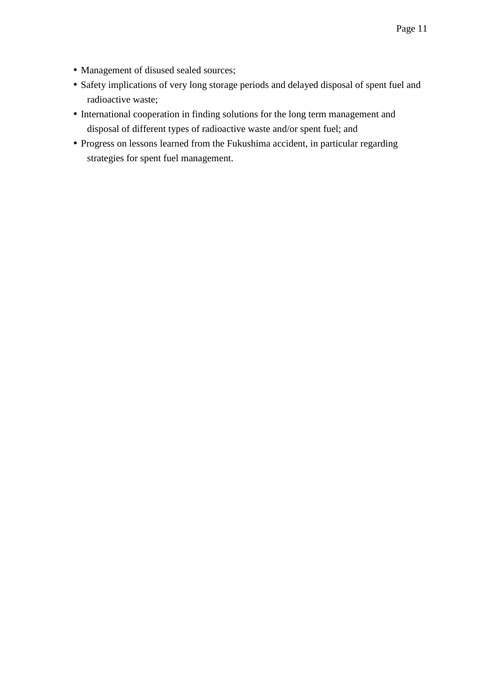- Management of disused sealed sources;
- Safety implications of very long storage periods and delayed disposal of spent fuel and radioactive waste;
- International cooperation in finding solutions for the long term management and disposal of different types of radioactive waste and/or spent fuel; and
- Progress on lessons learned from the Fukushima accident, in particular regarding strategies for spent fuel management.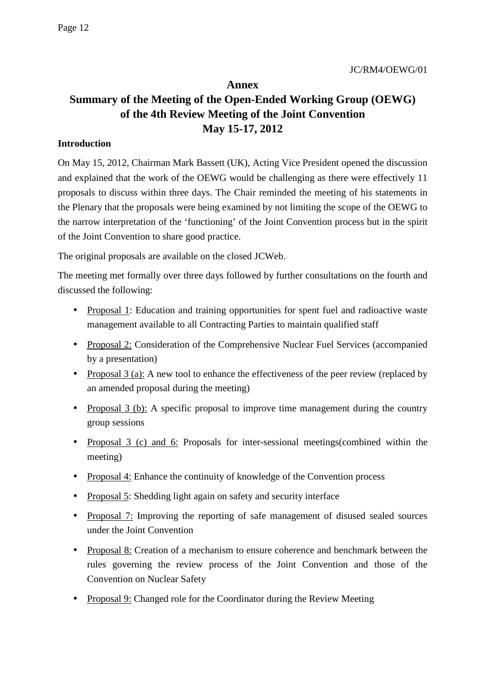# **Annex Summary of the Meeting of the Open-Ended Working Group (OEWG) of the 4th Review Meeting of the Joint Convention May 15-17, 2012**

## **Introduction**

On May 15, 2012, Chairman Mark Bassett (UK), Acting Vice President opened the discussion and explained that the work of the OEWG would be challenging as there were effectively 11 proposals to discuss within three days. The Chair reminded the meeting of his statements in the Plenary that the proposals were being examined by not limiting the scope of the OEWG to the narrow interpretation of the 'functioning' of the Joint Convention process but in the spirit of the Joint Convention to share good practice.

The original proposals are available on the closed JCWeb.

The meeting met formally over three days followed by further consultations on the fourth and discussed the following:

- Proposal 1: Education and training opportunities for spent fuel and radioactive waste management available to all Contracting Parties to maintain qualified staff
- Proposal 2: Consideration of the Comprehensive Nuclear Fuel Services (accompanied by a presentation)
- Proposal 3 (a): A new tool to enhance the effectiveness of the peer review (replaced by an amended proposal during the meeting)
- Proposal 3 (b): A specific proposal to improve time management during the country group sessions
- Proposal 3 (c) and 6: Proposals for inter-sessional meetings(combined within the meeting)
- Proposal 4: Enhance the continuity of knowledge of the Convention process
- Proposal 5: Shedding light again on safety and security interface
- Proposal 7: Improving the reporting of safe management of disused sealed sources under the Joint Convention
- Proposal 8: Creation of a mechanism to ensure coherence and benchmark between the rules governing the review process of the Joint Convention and those of the Convention on Nuclear Safety
- Proposal 9: Changed role for the Coordinator during the Review Meeting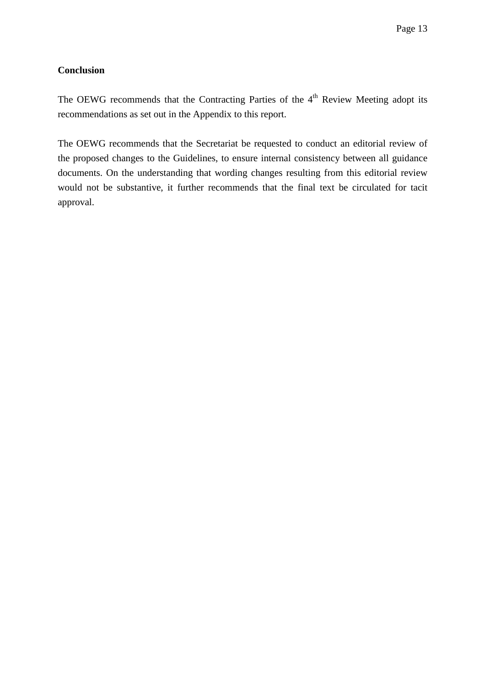## **Conclusion**

The OEWG recommends that the Contracting Parties of the 4<sup>th</sup> Review Meeting adopt its recommendations as set out in the Appendix to this report.

The OEWG recommends that the Secretariat be requested to conduct an editorial review of the proposed changes to the Guidelines, to ensure internal consistency between all guidance documents. On the understanding that wording changes resulting from this editorial review would not be substantive, it further recommends that the final text be circulated for tacit approval.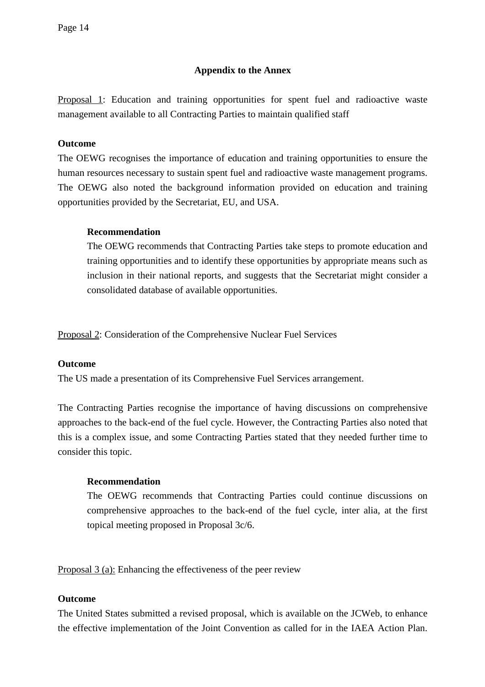## **Appendix to the Annex**

Proposal 1: Education and training opportunities for spent fuel and radioactive waste management available to all Contracting Parties to maintain qualified staff

## **Outcome**

The OEWG recognises the importance of education and training opportunities to ensure the human resources necessary to sustain spent fuel and radioactive waste management programs. The OEWG also noted the background information provided on education and training opportunities provided by the Secretariat, EU, and USA.

## **Recommendation**

The OEWG recommends that Contracting Parties take steps to promote education and training opportunities and to identify these opportunities by appropriate means such as inclusion in their national reports, and suggests that the Secretariat might consider a consolidated database of available opportunities.

Proposal 2: Consideration of the Comprehensive Nuclear Fuel Services

## **Outcome**

The US made a presentation of its Comprehensive Fuel Services arrangement.

The Contracting Parties recognise the importance of having discussions on comprehensive approaches to the back-end of the fuel cycle. However, the Contracting Parties also noted that this is a complex issue, and some Contracting Parties stated that they needed further time to consider this topic.

## **Recommendation**

The OEWG recommends that Contracting Parties could continue discussions on comprehensive approaches to the back-end of the fuel cycle, inter alia, at the first topical meeting proposed in Proposal 3c/6.

Proposal 3 (a): Enhancing the effectiveness of the peer review

## **Outcome**

The United States submitted a revised proposal, which is available on the JCWeb, to enhance the effective implementation of the Joint Convention as called for in the IAEA Action Plan.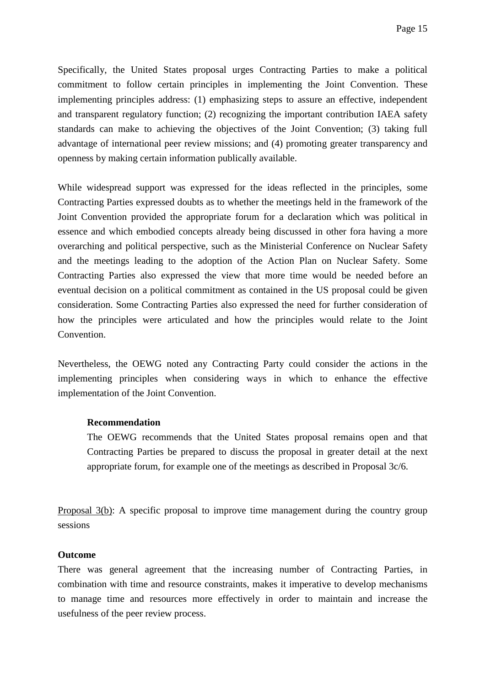Specifically, the United States proposal urges Contracting Parties to make a political commitment to follow certain principles in implementing the Joint Convention. These implementing principles address: (1) emphasizing steps to assure an effective, independent and transparent regulatory function; (2) recognizing the important contribution IAEA safety standards can make to achieving the objectives of the Joint Convention; (3) taking full advantage of international peer review missions; and (4) promoting greater transparency and openness by making certain information publically available.

While widespread support was expressed for the ideas reflected in the principles, some Contracting Parties expressed doubts as to whether the meetings held in the framework of the Joint Convention provided the appropriate forum for a declaration which was political in essence and which embodied concepts already being discussed in other fora having a more overarching and political perspective, such as the Ministerial Conference on Nuclear Safety and the meetings leading to the adoption of the Action Plan on Nuclear Safety. Some Contracting Parties also expressed the view that more time would be needed before an eventual decision on a political commitment as contained in the US proposal could be given consideration. Some Contracting Parties also expressed the need for further consideration of how the principles were articulated and how the principles would relate to the Joint Convention.

Nevertheless, the OEWG noted any Contracting Party could consider the actions in the implementing principles when considering ways in which to enhance the effective implementation of the Joint Convention.

#### **Recommendation**

The OEWG recommends that the United States proposal remains open and that Contracting Parties be prepared to discuss the proposal in greater detail at the next appropriate forum, for example one of the meetings as described in Proposal 3c/6.

Proposal 3(b): A specific proposal to improve time management during the country group sessions

#### **Outcome**

There was general agreement that the increasing number of Contracting Parties, in combination with time and resource constraints, makes it imperative to develop mechanisms to manage time and resources more effectively in order to maintain and increase the usefulness of the peer review process.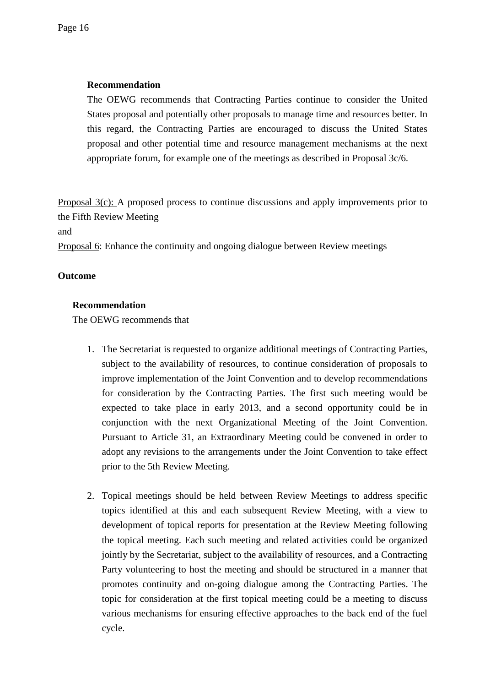## **Recommendation**

The OEWG recommends that Contracting Parties continue to consider the United States proposal and potentially other proposals to manage time and resources better. In this regard, the Contracting Parties are encouraged to discuss the United States proposal and other potential time and resource management mechanisms at the next appropriate forum, for example one of the meetings as described in Proposal 3c/6.

Proposal 3(c): A proposed process to continue discussions and apply improvements prior to the Fifth Review Meeting

and

Proposal 6: Enhance the continuity and ongoing dialogue between Review meetings

#### **Outcome**

#### **Recommendation**

The OEWG recommends that

- 1. The Secretariat is requested to organize additional meetings of Contracting Parties, subject to the availability of resources, to continue consideration of proposals to improve implementation of the Joint Convention and to develop recommendations for consideration by the Contracting Parties. The first such meeting would be expected to take place in early 2013, and a second opportunity could be in conjunction with the next Organizational Meeting of the Joint Convention. Pursuant to Article 31, an Extraordinary Meeting could be convened in order to adopt any revisions to the arrangements under the Joint Convention to take effect prior to the 5th Review Meeting.
- 2. Topical meetings should be held between Review Meetings to address specific topics identified at this and each subsequent Review Meeting, with a view to development of topical reports for presentation at the Review Meeting following the topical meeting. Each such meeting and related activities could be organized jointly by the Secretariat, subject to the availability of resources, and a Contracting Party volunteering to host the meeting and should be structured in a manner that promotes continuity and on-going dialogue among the Contracting Parties. The topic for consideration at the first topical meeting could be a meeting to discuss various mechanisms for ensuring effective approaches to the back end of the fuel cycle.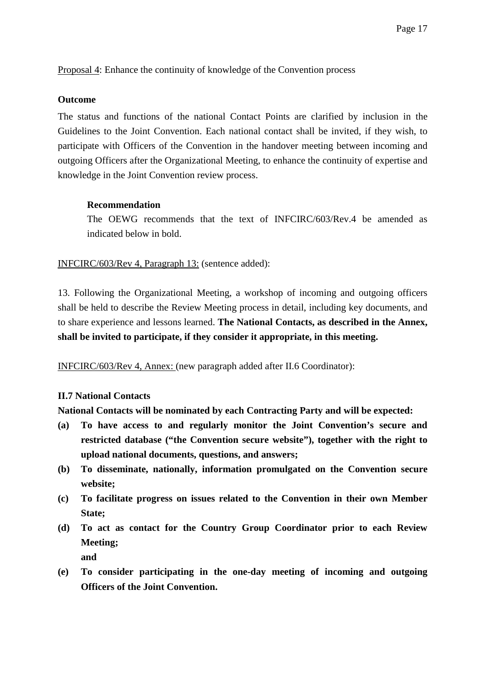Proposal 4: Enhance the continuity of knowledge of the Convention process

#### **Outcome**

The status and functions of the national Contact Points are clarified by inclusion in the Guidelines to the Joint Convention. Each national contact shall be invited, if they wish, to participate with Officers of the Convention in the handover meeting between incoming and outgoing Officers after the Organizational Meeting, to enhance the continuity of expertise and knowledge in the Joint Convention review process.

#### **Recommendation**

The OEWG recommends that the text of INFCIRC/603/Rev.4 be amended as indicated below in bold.

INFCIRC/603/Rev 4, Paragraph 13: (sentence added):

13. Following the Organizational Meeting, a workshop of incoming and outgoing officers shall be held to describe the Review Meeting process in detail, including key documents, and to share experience and lessons learned. **The National Contacts, as described in the Annex, shall be invited to participate, if they consider it appropriate, in this meeting.**

INFCIRC/603/Rev 4, Annex: (new paragraph added after II.6 Coordinator):

## **II.7 National Contacts**

**National Contacts will be nominated by each Contracting Party and will be expected:** 

- **(a) To have access to and regularly monitor the Joint Convention's secure and restricted database ("the Convention secure website"), together with the right to upload national documents, questions, and answers;**
- **(b) To disseminate, nationally, information promulgated on the Convention secure website;**
- **(c) To facilitate progress on issues related to the Convention in their own Member State;**
- **(d) To act as contact for the Country Group Coordinator prior to each Review Meeting;**

**and** 

**(e) To consider participating in the one-day meeting of incoming and outgoing Officers of the Joint Convention.**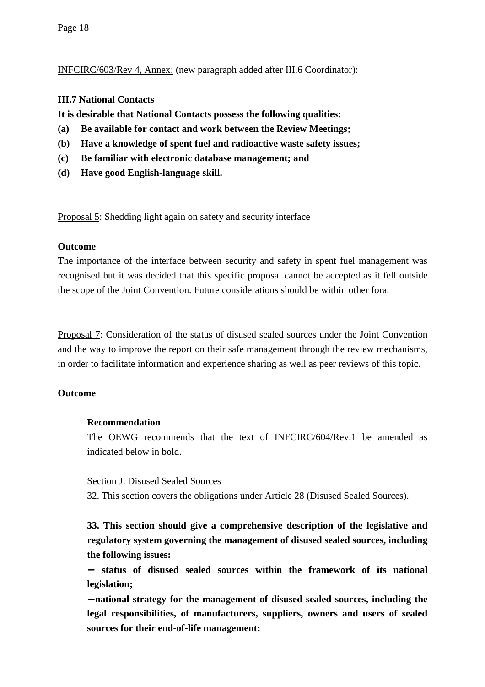INFCIRC/603/Rev 4, Annex: (new paragraph added after III.6 Coordinator):

#### **III.7 National Contacts**

**It is desirable that National Contacts possess the following qualities:** 

- **(a) Be available for contact and work between the Review Meetings;**
- **(b) Have a knowledge of spent fuel and radioactive waste safety issues;**
- **(c) Be familiar with electronic database management; and**
- **(d) Have good English-language skill.**

Proposal 5: Shedding light again on safety and security interface

#### **Outcome**

The importance of the interface between security and safety in spent fuel management was recognised but it was decided that this specific proposal cannot be accepted as it fell outside the scope of the Joint Convention. Future considerations should be within other fora.

Proposal 7: Consideration of the status of disused sealed sources under the Joint Convention and the way to improve the report on their safe management through the review mechanisms, in order to facilitate information and experience sharing as well as peer reviews of this topic.

## **Outcome**

## **Recommendation**

The OEWG recommends that the text of INFCIRC/604/Rev.1 be amended as indicated below in bold.

Section J. Disused Sealed Sources

32. This section covers the obligations under Article 28 (Disused Sealed Sources).

**33. This section should give a comprehensive description of the legislative and regulatory system governing the management of disused sealed sources, including the following issues:** 

− **status of disused sealed sources within the framework of its national legislation;** 

− **national strategy for the management of disused sealed sources, including the legal responsibilities, of manufacturers, suppliers, owners and users of sealed sources for their end-of-life management;**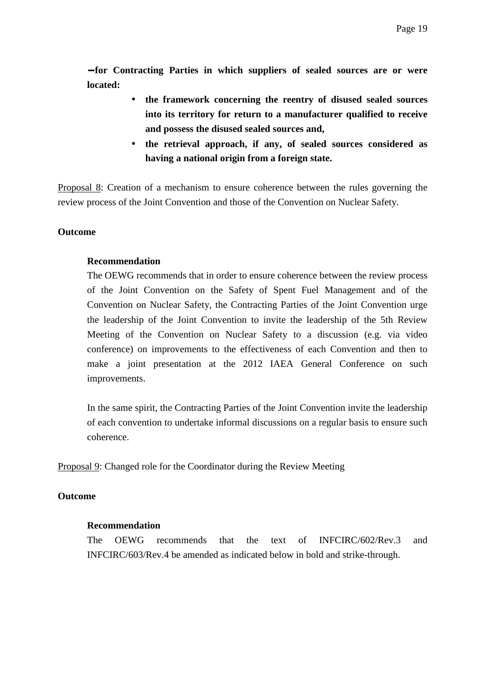− **for Contracting Parties in which suppliers of sealed sources are or were located:** 

- **the framework concerning the reentry of disused sealed sources into its territory for return to a manufacturer qualified to receive and possess the disused sealed sources and,**
- **the retrieval approach, if any, of sealed sources considered as having a national origin from a foreign state.**

Proposal 8: Creation of a mechanism to ensure coherence between the rules governing the review process of the Joint Convention and those of the Convention on Nuclear Safety.

#### **Outcome**

#### **Recommendation**

The OEWG recommends that in order to ensure coherence between the review process of the Joint Convention on the Safety of Spent Fuel Management and of the Convention on Nuclear Safety, the Contracting Parties of the Joint Convention urge the leadership of the Joint Convention to invite the leadership of the 5th Review Meeting of the Convention on Nuclear Safety to a discussion (e.g. via video conference) on improvements to the effectiveness of each Convention and then to make a joint presentation at the 2012 IAEA General Conference on such improvements.

In the same spirit, the Contracting Parties of the Joint Convention invite the leadership of each convention to undertake informal discussions on a regular basis to ensure such coherence.

Proposal 9: Changed role for the Coordinator during the Review Meeting

#### **Outcome**

#### **Recommendation**

The OEWG recommends that the text of INFCIRC/602/Rev.3 and INFCIRC/603/Rev.4 be amended as indicated below in bold and strike-through.